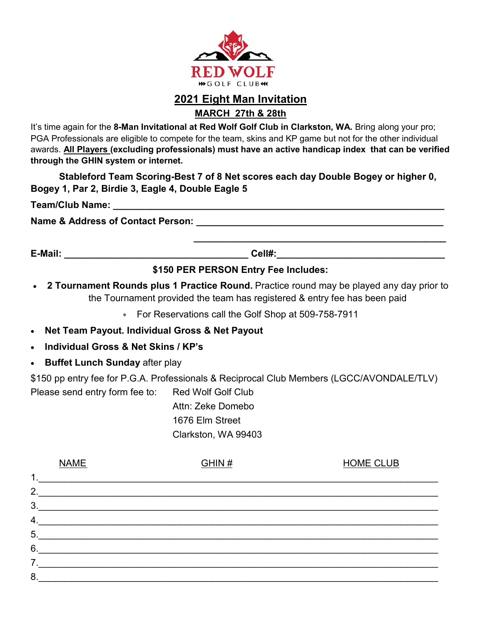

# **2021 Eight Man Invitation**

**MARCH 27th & 28th** 

It's time again for the **8-Man Invitational at Red Wolf Golf Club in Clarkston, WA.** Bring along your pro; PGA Professionals are eligible to compete for the team, skins and KP game but not for the other individual awards. **All Players (excluding professionals) must have an active handicap index that can be verified through the GHIN system or internet.** 

**Stableford Team Scoring-Best 7 of 8 Net scores each day Double Bogey or higher 0, Bogey 1, Par 2, Birdie 3, Eagle 4, Double Eagle 5**

**Team/Club Name: \_\_\_\_\_\_\_\_\_\_\_\_\_\_\_\_\_\_\_\_\_\_\_\_\_\_\_\_\_\_\_\_\_\_\_\_\_\_\_\_\_\_\_\_\_\_\_\_\_\_\_\_\_\_\_\_\_\_\_\_\_\_\_**

**Name & Address of Contact Person: \_\_\_\_\_\_\_\_\_\_\_\_\_\_\_\_\_\_\_\_\_\_\_\_\_\_\_\_\_\_\_\_\_\_\_\_\_\_\_\_\_\_\_\_\_\_\_**

**E-Mail: \_\_\_\_\_\_\_\_\_\_\_\_\_\_\_\_\_\_\_\_\_\_\_\_\_\_\_\_\_\_\_\_\_\_\_ Cell#:\_\_\_\_\_\_\_\_\_\_\_\_\_\_\_\_\_\_\_\_\_\_\_\_\_\_\_\_\_\_\_\_**

## **\$150 PER PERSON Entry Fee Includes:**

 **\_\_\_\_\_\_\_\_\_\_\_\_\_\_\_\_\_\_\_\_\_\_\_\_\_\_\_\_\_\_\_\_\_\_\_\_\_\_\_\_\_\_\_\_\_\_\_\_**

- **2 Tournament Rounds plus 1 Practice Round.** Practice round may be played any day prior to the Tournament provided the team has registered & entry fee has been paid
	- For Reservations call the Golf Shop at 509-758-7911
- **Net Team Payout. Individual Gross & Net Payout**
- **Individual Gross & Net Skins / KP's**
- **Buffet Lunch Sunday after play**

\$150 pp entry fee for P.G.A. Professionals & Reciprocal Club Members (LGCC/AVONDALE/TLV) Please send entry form fee to: Red Wolf Golf Club

> Attn: Zeke Domebo 1676 Elm Street Clarkston, WA 99403

|                  | <b>NAME</b> | GHM# | <b>HOME CLUB</b> |
|------------------|-------------|------|------------------|
| $\mathbf 1$ .    |             |      |                  |
| 2.               |             |      |                  |
| 3.               |             |      |                  |
| 4.               |             |      |                  |
| 5.               |             |      |                  |
| 6.               |             |      |                  |
| $\overline{7}$ . |             |      |                  |
| 8.               |             |      |                  |